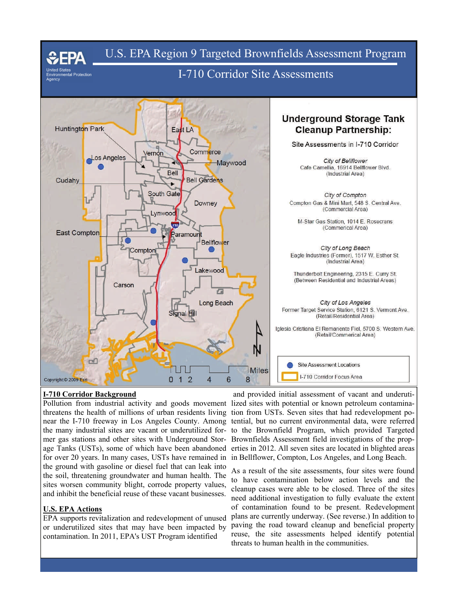

### **I-710 Corridor Background**

mer gas stations and other sites with Underground Storfor over 20 years. In many cases, USTs have remained in the ground with gasoline or diesel fuel that can leak into the soil, threatening groundwater and human health. The sites worsen community blight, corrode property values, and inhibit the beneficial reuse of these vacant businesses.

## **U.S. EPA Actions**

EPA supports revitalization and redevelopment of unused or underutilized sites that may have been impacted by contamination. In 2011, EPA's UST Program identified

Pollution from industrial activity and goods movement lized sites with potential or known petroleum contaminathreatens the health of millions of urban residents living tion from USTs. Seven sites that had redevelopment ponear the I-710 freeway in Los Angeles County. Among tential, but no current environmental data, were referred the many industrial sites are vacant or underutilized for-to the Brownfield Program, which provided Targeted age Tanks (USTs), some of which have been abandoned erties in 2012. All seven sites are located in blighted areas and provided initial assessment of vacant and underuti-Brownfields Assessment field investigations of the propin Bellflower, Compton, Los Angeles, and Long Beach.

> As a result of the site assessments, four sites were found to have contamination below action levels and the cleanup cases were able to be closed. Three of the sites need additional investigation to fully evaluate the extent of contamination found to be present. Redevelopment plans are currently underway. (See reverse.) In addition to paving the road toward cleanup and beneficial property reuse, the site assessments helped identify potential threats to human health in the communities.